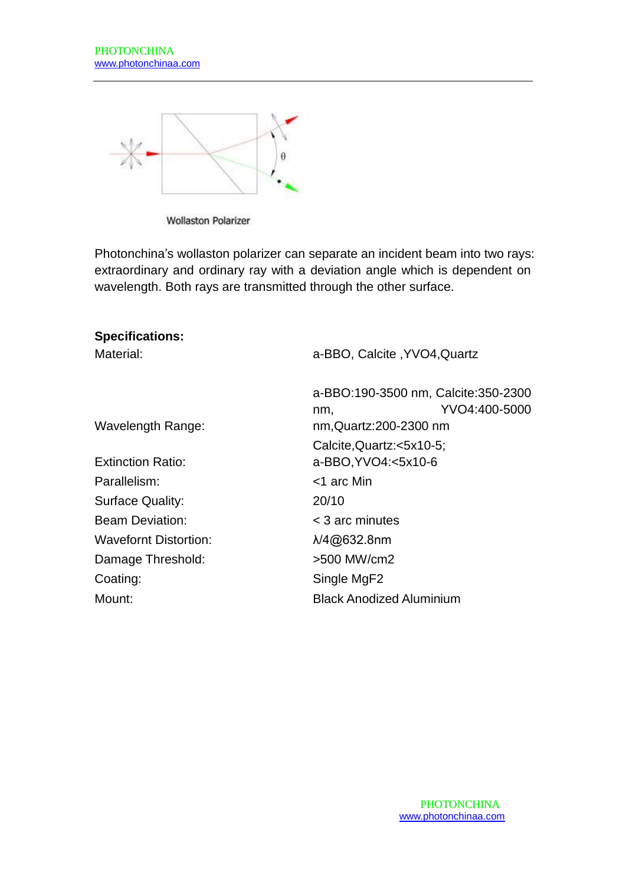

**Wollaston Polarizer** 

Photonchina's wollaston polarizer can separate an incident beam into two rays: extraordinary and ordinary ray with a deviation angle which is dependent on wavelength. Both rays are transmitted through the other surface.

| <b>Specifications:</b>   |                                                                                        |
|--------------------------|----------------------------------------------------------------------------------------|
| Material:                | a-BBO, Calcite, YVO4, Quartz                                                           |
| Wavelength Range:        | a-BBO:190-3500 nm, Calcite:350-2300<br>YVO4:400-5000<br>nm.<br>nm, Quartz: 200-2300 nm |
|                          | Calcite, Quartz: <5x10-5;                                                              |
| <b>Extinction Ratio:</b> | a-BBO, YVO4: < 5x10-6                                                                  |
| Parallelism:             | <1 arc Min                                                                             |
| <b>Surface Quality:</b>  | 20/10                                                                                  |
| <b>Beam Deviation:</b>   | $<$ 3 arc minutes                                                                      |
| Wavefornt Distortion:    | $\lambda$ /4@632.8nm                                                                   |
| Damage Threshold:        | >500 MW/cm2                                                                            |
| Coating:                 | Single MgF2                                                                            |
| Mount:                   | <b>Black Anodized Aluminium</b>                                                        |